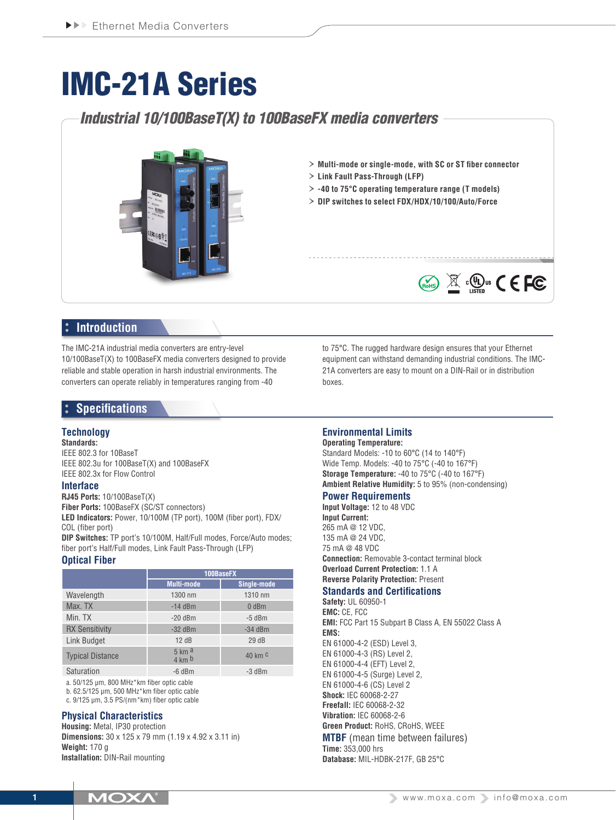# IMC-21A Series

## *Industrial 10/100BaseT(X) to 100BaseFX media converters*



- › **Multi-mode or single-mode, with SC or ST fiber connector**
- › **Link Fault Pass-Through (LFP)**
- › **-40 to 75°C operating temperature range (T models)**
- › **DIP switches to select FDX/HDX/10/100/Auto/Force**



The IMC-21A industrial media converters are entry-level 10/100BaseT(X) to 100BaseFX media converters designed to provide reliable and stable operation in harsh industrial environments. The converters can operate reliably in temperatures ranging from -40

### **Specifications**

#### **Technology**

**Standards:** IEEE 802.3 for 10BaseT IEEE 802.3u for 100BaseT(X) and 100BaseFX IEEE 802.3x for Flow Control

#### **Interface**

**RJ45 Ports:** 10/100BaseT(X)

**Fiber Ports:** 100BaseFX (SC/ST connectors)

**LED Indicators:** Power, 10/100M (TP port), 100M (fiber port), FDX/ COL (fiber port)

**DIP Switches:** TP port's 10/100M, Half/Full modes, Force/Auto modes; fiber port's Half/Full modes, Link Fault Pass-Through (LFP)

#### **Optical Fiber**

|                         | 100BaseFX         |             |
|-------------------------|-------------------|-------------|
|                         | <b>Multi-mode</b> | Single-mode |
| Wavelength              | 1300 nm           | 1310 nm     |
| Max. TX                 | $-14$ dBm         | $0$ dBm     |
| Min. TX                 | $-20$ dBm         | $-5$ dBm    |
| <b>RX Sensitivity</b>   | $-32$ dBm         | $-34$ dBm   |
| <b>Link Budget</b>      | 12dB              | 29dB        |
| <b>Typical Distance</b> | 5 km a<br>4 km b  | 40 km $c$   |
| Saturation              | $-6$ dBm          | $-3$ dBm    |

a. 50/125 μm, 800 MHz\*km fiber optic cable

b. 62.5/125 μm, 500 MHz\*km fiber optic cable

c. 9/125 μm, 3.5 PS/(nm\*km) fiber optic cable

#### **Physical Characteristics**

**Housing:** Metal, IP30 protection **Dimensions:** 30 x 125 x 79 mm (1.19 x 4.92 x 3.11 in) **Weight:** 170 g **Installation:** DIN-Rail mounting

to 75°C. The rugged hardware design ensures that your Ethernet equipment can withstand demanding industrial conditions. The IMC-21A converters are easy to mount on a DIN-Rail or in distribution boxes.

 $\circledR$   $\circledR$   $\circledR$   $\circledR$   $\circledR$   $\circledR$   $\circledR$   $\circledR$   $\circledR$   $\circledR$   $\circledR$   $\circledR$   $\circledR$   $\circledR$   $\circledR$   $\circledR$   $\circledR$   $\circledR$   $\circledR$   $\circledR$   $\circledR$   $\circledR$   $\circledR$   $\circledR$   $\circledR$   $\circledR$   $\circledR$   $\circledR$   $\circledR$   $\circledR$   $\circledR$   $\circled$ 

#### **Environmental Limits**

#### **Operating Temperature:**

Standard Models: -10 to 60°C (14 to 140°F) Wide Temp. Models: -40 to 75°C (-40 to 167°F) **Storage Temperature:** -40 to 75°C (-40 to 167°F) **Ambient Relative Humidity:** 5 to 95% (non-condensing)

#### **Power Requirements**

**Input Voltage:** 12 to 48 VDC **Input Current:** 265 mA @ 12 VDC, 135 mA @ 24 VDC, 75 mA @ 48 VDC **Connection:** Removable 3-contact terminal block **Overload Current Protection:** 1.1 A **Reverse Polarity Protection:** Present

#### **Standards and Certifications**

**Safety:** UL 60950-1 **EMC:** CE, FCC **EMI:** FCC Part 15 Subpart B Class A, EN 55022 Class A **EMS:** EN 61000-4-2 (ESD) Level 3, EN 61000-4-3 (RS) Level 2, EN 61000-4-4 (EFT) Level 2, EN 61000-4-5 (Surge) Level 2, EN 61000-4-6 (CS) Level 2 **Shock:** IEC 60068-2-27 **Freefall:** IEC 60068-2-32 **Vibration:** IEC 60068-2-6 **Green Product:** RoHS, CRoHS, WEEE **MTBF** (mean time between failures) **Time:** 353,000 hrs **Database:** MIL-HDBK-217F, GB 25°C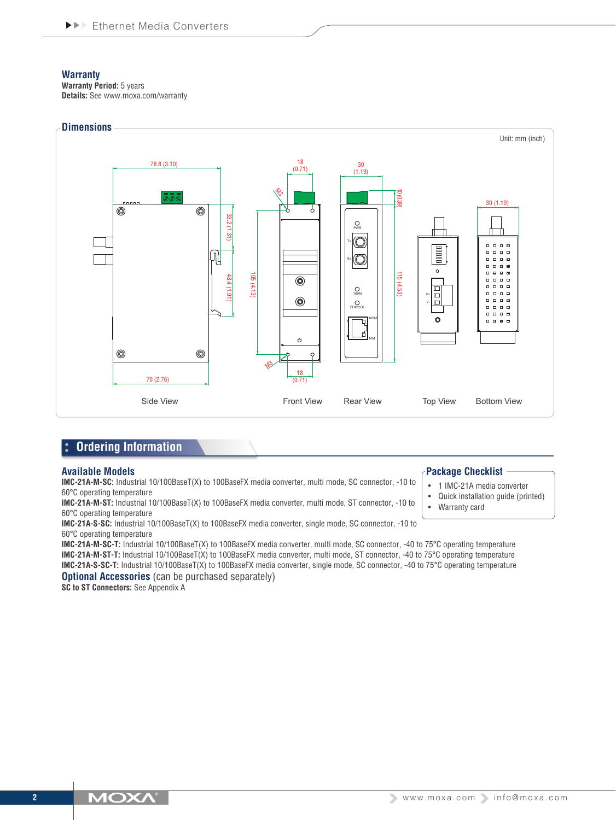#### **Warranty**

**Warranty Period:** 5 years **Details:** See www.moxa.com/warranty



#### **Ordering Information**  l:

#### **Available Models**

**IMC-21A-M-SC:** Industrial 10/100BaseT(X) to 100BaseFX media converter, multi mode, SC connector, -10 to 60°C operating temperature

**IMC-21A-M-ST:** Industrial 10/100BaseT(X) to 100BaseFX media converter, multi mode, ST connector, -10 to 60°C operating temperature

**IMC-21A-S-SC:** Industrial 10/100BaseT(X) to 100BaseFX media converter, single mode, SC connector, -10 to 60°C operating temperature

**IMC-21A-M-SC-T:** Industrial 10/100BaseT(X) to 100BaseFX media converter, multi mode, SC connector, -40 to 75°C operating temperature **IMC-21A-M-ST-T:** Industrial 10/100BaseT(X) to 100BaseFX media converter, multi mode, ST connector, -40 to 75°C operating temperature **IMC-21A-S-SC-T:** Industrial 10/100BaseT(X) to 100BaseFX media converter, single mode, SC connector, -40 to 75°C operating temperature **Optional Accessories** (can be purchased separately)

**SC to ST Connectors:** See Appendix A

#### **Package Checklist**

- 1 IMC-21A media converter
- Quick installation quide (printed)
- **Warranty card**